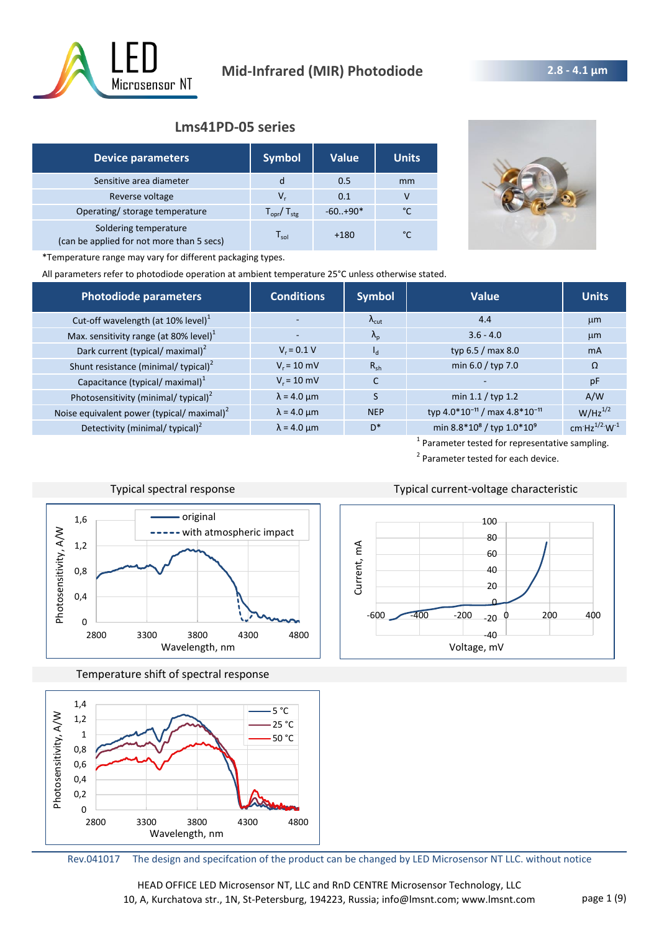

# **Lms41PD-05 series**

| <b>Device parameters</b>                                           | <b>Symbol</b>                   | <b>Value</b> | <b>Units</b> |
|--------------------------------------------------------------------|---------------------------------|--------------|--------------|
| Sensitive area diameter                                            | d                               | 0.5          | mm           |
| Reverse voltage                                                    | v,                              | 0.1          |              |
| Operating/ storage temperature                                     | $T_{\text{opr}}/T_{\text{stg}}$ | $-60.+90*$   | °C           |
| Soldering temperature<br>(can be applied for not more than 5 secs) | $\mathsf{T}_{\mathsf{sol}}$     | $+180$       | °C           |



\*Temperature range may vary for different packaging types.

All parameters refer to photodiode operation at ambient temperature 25°C unless otherwise stated.

| Photodiode parameters                                  | <b>Conditions</b>  | <b>Symbol</b>       | Value                                                 | <b>Units</b>        |
|--------------------------------------------------------|--------------------|---------------------|-------------------------------------------------------|---------------------|
| Cut-off wavelength (at 10% level) <sup>1</sup>         |                    | $\Lambda_{\rm cut}$ | 4.4                                                   | $\mu$ m             |
| Max. sensitivity range (at 80% level) <sup>1</sup>     |                    | $\Lambda_{\rm p}$   | $3.6 - 4.0$                                           | $\mu$ m             |
| Dark current (typical/ maximal) <sup>2</sup>           | $V_r = 0.1 V$      | $I_{\rm d}$         | typ 6.5 / max 8.0                                     | <b>mA</b>           |
| Shunt resistance (minimal/ typical) <sup>2</sup>       | $V_r = 10$ mV      | $R_{sh}$            | min 6.0 / typ 7.0                                     | $\Omega$            |
| Capacitance (typical/ maximal) <sup>1</sup>            | $V_r = 10$ mV      | C                   |                                                       | pF                  |
| Photosensitivity (minimal/ typical) <sup>2</sup>       | $\lambda$ = 4.0 µm |                     | min $1.1 /$ typ 1.2                                   | A/W                 |
| Noise equivalent power (typical/ maximal) <sup>2</sup> | $\lambda$ = 4.0 µm | <b>NEP</b>          | typ 4.0*10 <sup>-11</sup> / max 4.8*10 <sup>-11</sup> | $W/Hz^{1/2}$        |
| Detectivity (minimal/ typical) <sup>2</sup>            | $\lambda$ = 4.0 µm | D*                  | min 8.8*10 <sup>8</sup> / typ 1.0*10 <sup>9</sup>     | cm $Hz^{1/2}W^{-1}$ |

<sup>1</sup> Parameter tested for representative sampling. <sup>2</sup> Parameter tested for each device.



Typical spectral response Typical current-voltage characteristic

Temperature shift of spectral response





Rev.041017 The design and specifcation of the product can be changed by LED Microsensor NT LLC. without notice

HEAD OFFICE LED Microsensor NT, LLC and RnD CENTRE Microsensor Technology, LLC 10, A, Kurchatova str., 1N, St-Petersburg, 194223, Russia; info@lmsnt.com; www.lmsnt.com page 1 (9)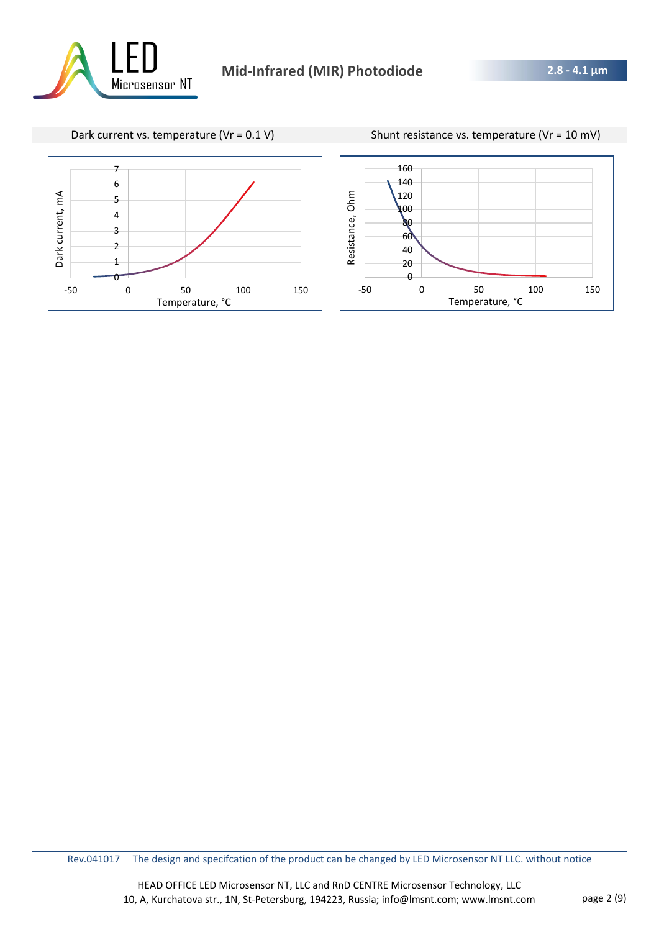

Dark current vs. temperature (Vr = 0.1 V) Shunt resistance vs. temperature (Vr = 10 mV)



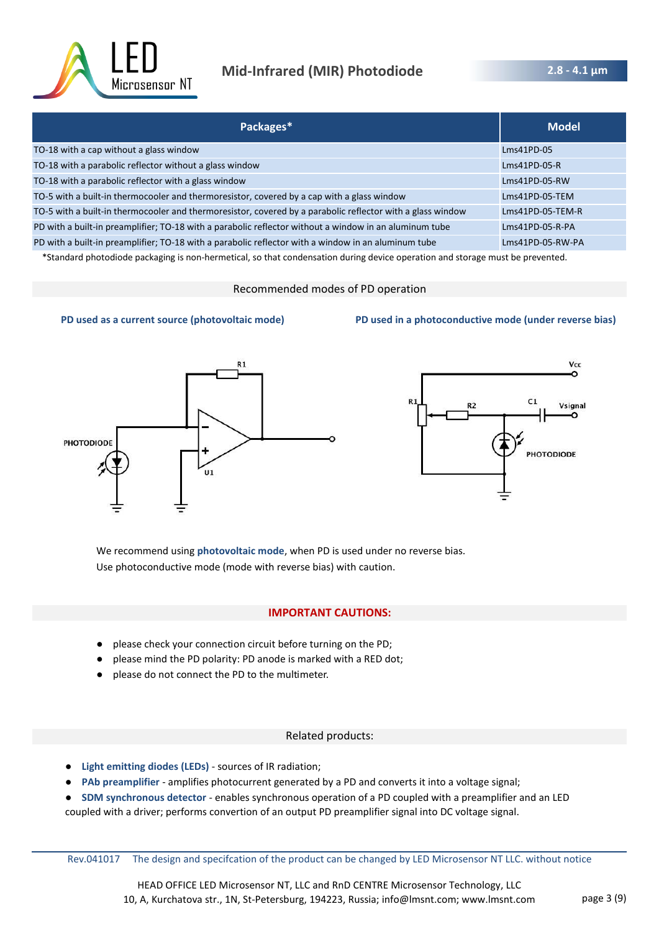

| Packages*                                                                                                  | <b>Model</b>       |
|------------------------------------------------------------------------------------------------------------|--------------------|
| TO-18 with a cap without a glass window                                                                    | $Lms41PD-05$       |
| TO-18 with a parabolic reflector without a glass window                                                    | $Lms41PD-05-R$     |
| TO-18 with a parabolic reflector with a glass window                                                       | Lms41PD-05-RW      |
| TO-5 with a built-in thermocooler and thermoresistor, covered by a cap with a glass window                 | $Lms41PD-05-TEM$   |
| TO-5 with a built-in thermocooler and thermoresistor, covered by a parabolic reflector with a glass window | $Lms41PD-05-TEM-R$ |
| PD with a built-in preamplifier; TO-18 with a parabolic reflector without a window in an aluminum tube     | Lms41PD-05-R-PA    |
| PD with a built-in preamplifier; TO-18 with a parabolic reflector with a window in an aluminum tube        | Lms41PD-05-RW-PA   |

\*Standard photodiode packaging is non-hermetical, so that condensation during device operation and storage must be prevented.

#### Recommended modes of PD operation



#### **PD used as a current source (photovoltaic mode) PD used in a photoconductive mode (under reverse bias)**



We recommend using **photovoltaic mode**, when PD is used under no reverse bias. Use photoconductive mode (mode with reverse bias) with caution.

#### **IMPORTANT CAUTIONS:**

- please check your connection circuit before turning on the PD;
- please mind the PD polarity: PD anode is marked with a RED dot;
- please do not connect the PD to the multimeter.

#### Related products:

- **Light emitting diodes (LEDs)**  sources of IR radiation;
- PAb preamplifier amplifies photocurrent generated by a PD and converts it into a voltage signal;
- **SDM synchronous detector** enables synchronous operation of a PD coupled with a preamplifier and an LED
- coupled with a driver; performs convertion of an output PD preamplifier signal into DC voltage signal.

Rev.041017 The design and specifcation of the product can be changed by LED Microsensor NT LLC. without notice

HEAD OFFICE LED Microsensor NT, LLC and RnD CENTRE Microsensor Technology, LLC 10, A, Kurchatova str., 1N, St-Petersburg, 194223, Russia; info@lmsnt.com; www.lmsnt.com page 3 (9)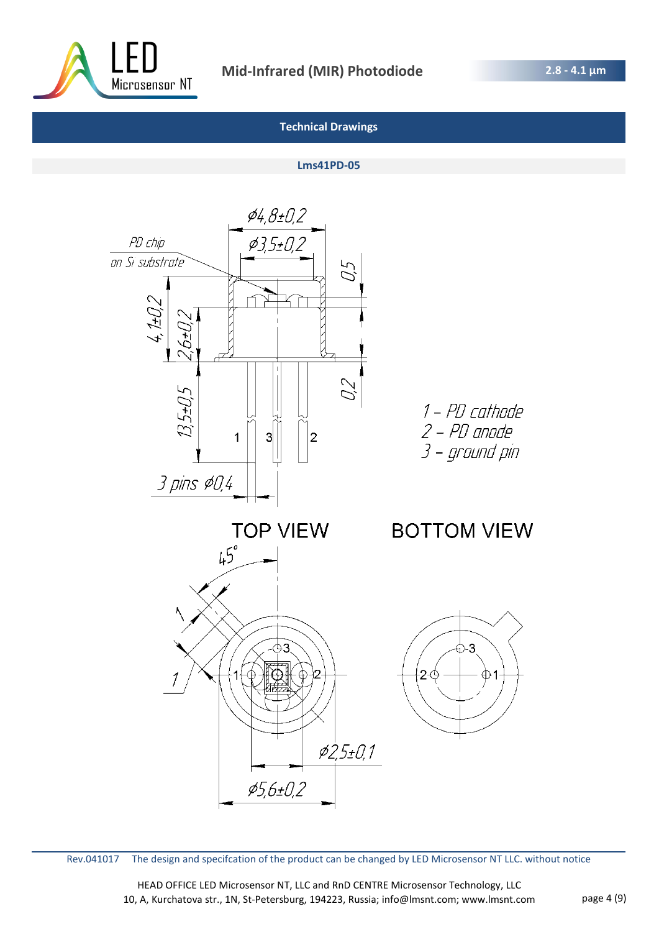

**2.8 - 4.1 μm** 

# **Technical Drawings**

## **Lms41PD-05**



Rev.041017 The design and specifcation of the product can be changed by LED Microsensor NT LLC. without notice

HEAD OFFICE LED Microsensor NT, LLC and RnD CENTRE Microsensor Technology, LLC 10, A, Kurchatova str., 1N, St-Petersburg, 194223, Russia; info@lmsnt.com; www.lmsnt.com page 4 (9)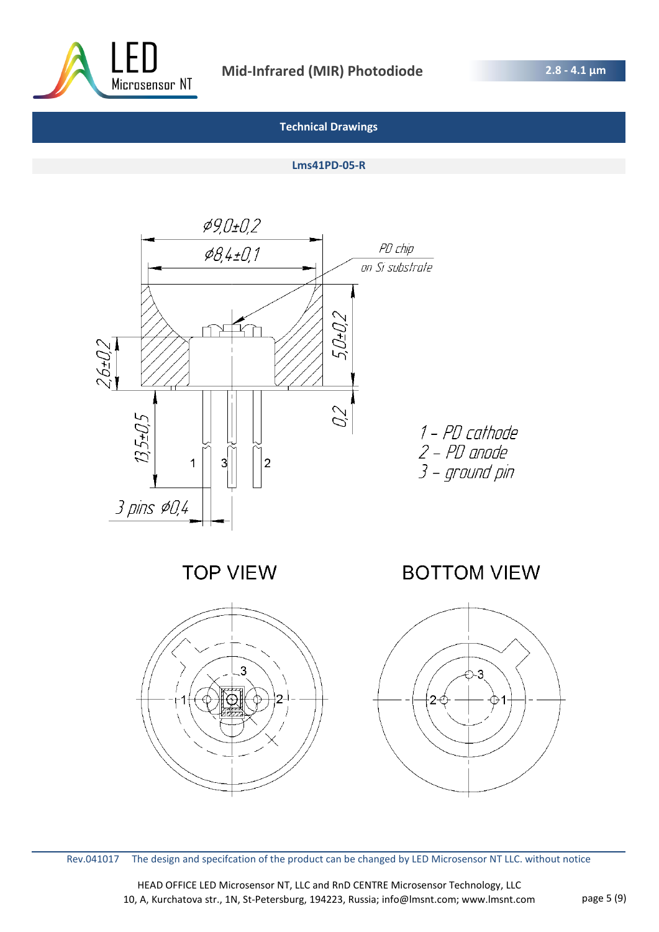

## **Lms41PD-05-R**



Rev.041017 The design and specifcation of the product can be changed by LED Microsensor NT LLC. without notice

HEAD OFFICE LED Microsensor NT, LLC and RnD CENTRE Microsensor Technology, LLC 10, A, Kurchatova str., 1N, St-Petersburg, 194223, Russia; info@lmsnt.com; www.lmsnt.com page 5 (9)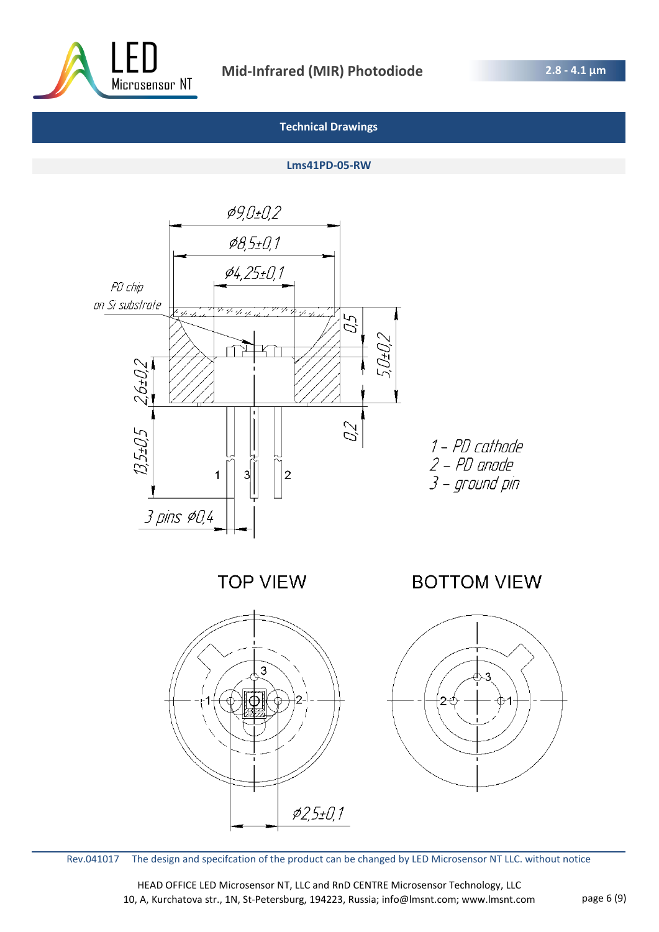

#### **Lms41PD-05-RW**



Rev.041017 The design and specifcation of the product can be changed by LED Microsensor NT LLC. without notice

HEAD OFFICE LED Microsensor NT, LLC and RnD CENTRE Microsensor Technology, LLC 10, A, Kurchatova str., 1N, St-Petersburg, 194223, Russia; info@lmsnt.com; www.lmsnt.com page 6 (9)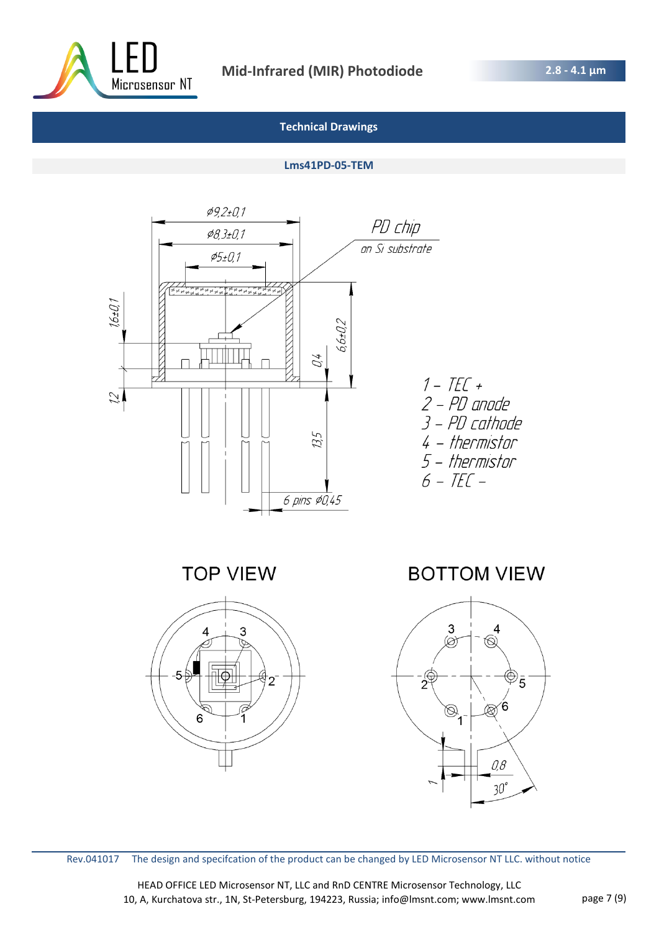

## **Lms41PD-05-TEM**



Rev.041017 The design and specifcation of the product can be changed by LED Microsensor NT LLC. without notice

HEAD OFFICE LED Microsensor NT, LLC and RnD CENTRE Microsensor Technology, LLC 10, A, Kurchatova str., 1N, St-Petersburg, 194223, Russia; info@lmsnt.com; www.lmsnt.com page 7 (9)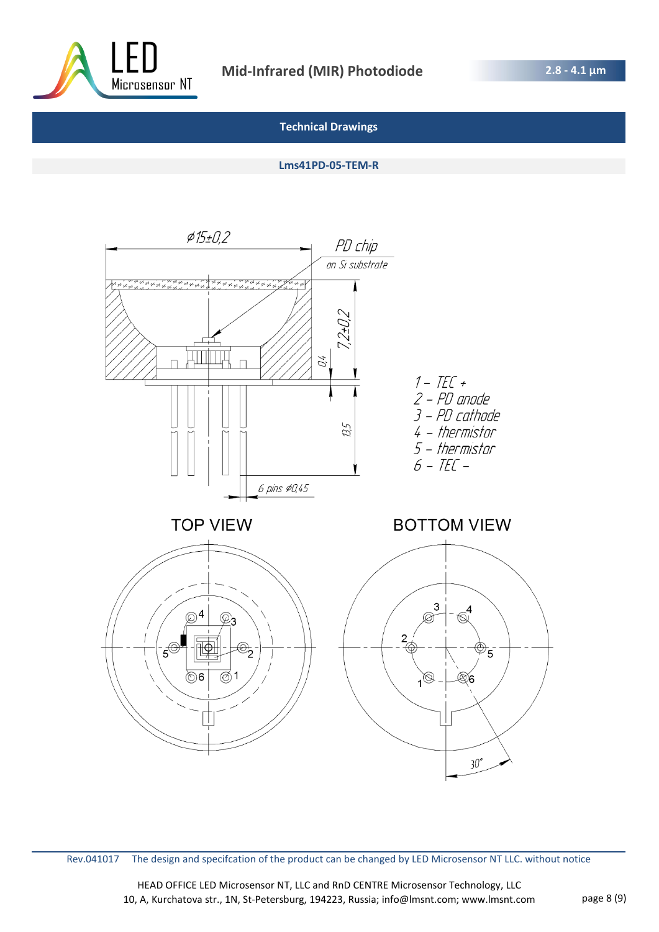

**2.8 - 4.1 μm** 

## **Technical Drawings**

**Lms41PD-05-TEM-R**



Rev.041017 The design and specifcation of the product can be changed by LED Microsensor NT LLC. without notice

HEAD OFFICE LED Microsensor NT, LLC and RnD CENTRE Microsensor Technology, LLC 10, A, Kurchatova str., 1N, St-Petersburg, 194223, Russia; info@lmsnt.com; www.lmsnt.com page 8 (9)